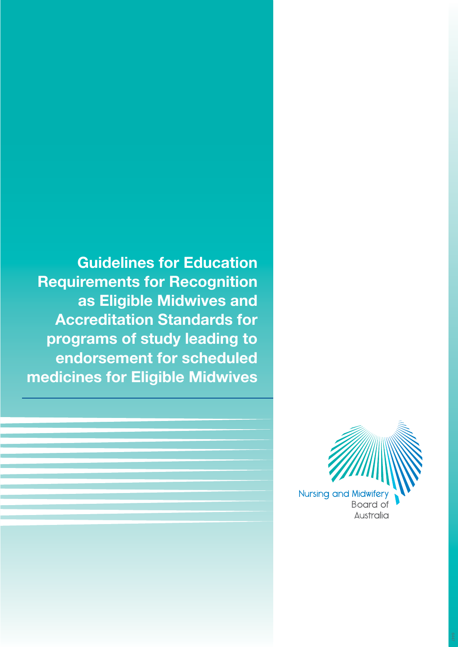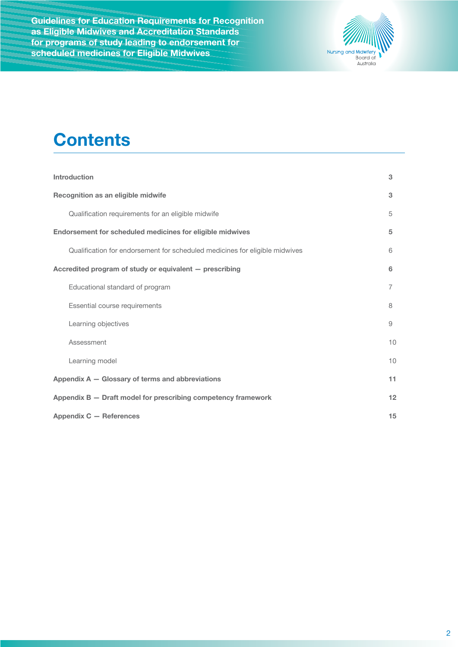

# **Contents**

| <b>Introduction</b><br>3                                                    |    |  |  |
|-----------------------------------------------------------------------------|----|--|--|
| Recognition as an eligible midwife                                          |    |  |  |
| Qualification requirements for an eligible midwife                          | 5  |  |  |
| Endorsement for scheduled medicines for eligible midwives<br>5              |    |  |  |
| Qualification for endorsement for scheduled medicines for eligible midwives | 6  |  |  |
| Accredited program of study or equivalent - prescribing<br>6                |    |  |  |
| Educational standard of program                                             | 7  |  |  |
| Essential course requirements                                               | 8  |  |  |
| Learning objectives                                                         | 9  |  |  |
| Assessment                                                                  | 10 |  |  |
| Learning model                                                              | 10 |  |  |
| Appendix A - Glossary of terms and abbreviations                            |    |  |  |
| Appendix B - Draft model for prescribing competency framework               |    |  |  |
| Appendix C - References<br>15                                               |    |  |  |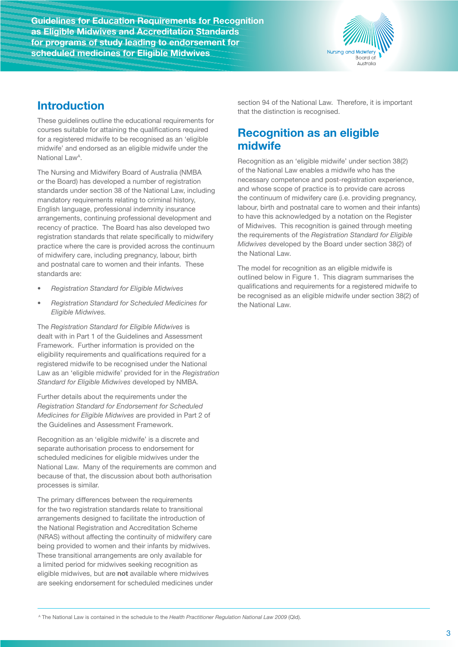

## **Introduction**

These guidelines outline the educational requirements for courses suitable for attaining the qualifications required for a registered midwife to be recognised as an 'eligible midwife' and endorsed as an eligible midwife under the National Law<sup>A</sup>.

The Nursing and Midwifery Board of Australia (NMBA or the Board) has developed a number of registration standards under section 38 of the National Law, including mandatory requirements relating to criminal history, English language, professional indemnity insurance arrangements, continuing professional development and recency of practice. The Board has also developed two registration standards that relate specifically to midwifery practice where the care is provided across the continuum of midwifery care, including pregnancy, labour, birth and postnatal care to women and their infants. These standards are:

- *• Registration Standard for Eligible Midwives*
- *• Registration Standard for Scheduled Medicines for Eligible Midwives.*

The *Registration Standard for Eligible Midwives* is dealt with in Part 1 of the Guidelines and Assessment Framework. Further information is provided on the eligibility requirements and qualifications required for a registered midwife to be recognised under the National Law as an 'eligible midwife' provided for in the *Registration Standard for Eligible Midwives* developed by NMBA.

Further details about the requirements under the *Registration Standard for Endorsement for Scheduled Medicines for Eligible Midwives* are provided in Part 2 of the Guidelines and Assessment Framework.

Recognition as an 'eligible midwife' is a discrete and separate authorisation process to endorsement for scheduled medicines for eligible midwives under the National Law. Many of the requirements are common and because of that, the discussion about both authorisation processes is similar.

The primary differences between the requirements for the two registration standards relate to transitional arrangements designed to facilitate the introduction of the National Registration and Accreditation Scheme (NRAS) without affecting the continuity of midwifery care being provided to women and their infants by midwives. These transitional arrangements are only available for a limited period for midwives seeking recognition as eligible midwives, but are **not** available where midwives are seeking endorsement for scheduled medicines under

section 94 of the National Law. Therefore, it is important that the distinction is recognised.

## **Recognition as an eligible midwife**

Recognition as an 'eligible midwife' under section 38(2) of the National Law enables a midwife who has the necessary competence and post-registration experience, and whose scope of practice is to provide care across the continuum of midwifery care (i.e. providing pregnancy, labour, birth and postnatal care to women and their infants) to have this acknowledged by a notation on the Register of Midwives. This recognition is gained through meeting the requirements of the *Registration Standard for Eligible Midwives* developed by the Board under section 38(2) of the National Law.

The model for recognition as an eligible midwife is outlined below in Figure 1. This diagram summarises the qualifications and requirements for a registered midwife to be recognised as an eligible midwife under section 38(2) of the National Law.

<sup>A</sup> The National Law is contained in the schedule to the *Health Practitioner Regulation National Law 2009* (Qld).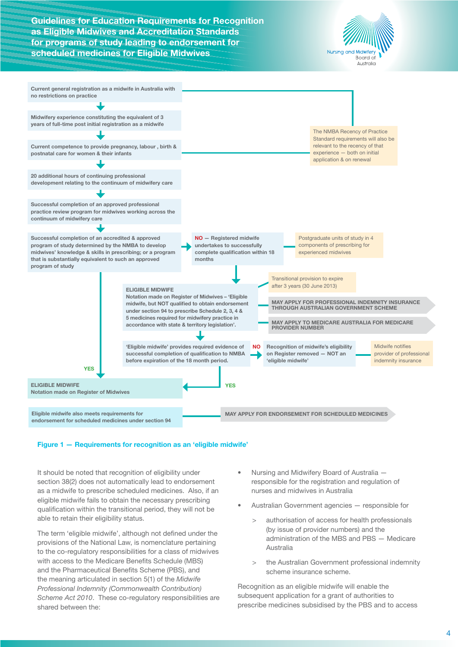



#### **Figure 1 — Requirements for recognition as an 'eligible midwife'**

It should be noted that recognition of eligibility under section 38(2) does not automatically lead to endorsement as a midwife to prescribe scheduled medicines. Also, if an eligible midwife fails to obtain the necessary prescribing qualification within the transitional period, they will not be able to retain their eligibility status.

The term 'eligible midwife', although not defined under the provisions of the National Law, is nomenclature pertaining to the co-regulatory responsibilities for a class of midwives with access to the Medicare Benefits Schedule (MBS) and the Pharmaceutical Benefits Scheme (PBS), and the meaning articulated in section 5(1) of the *Midwife Professional Indemnity (Commonwealth Contribution) Scheme Act 2010*. These co-regulatory responsibilities are shared between the:

- Nursing and Midwifery Board of Australia responsible for the registration and regulation of nurses and midwives in Australia
- Australian Government agencies responsible for
	- > authorisation of access for health professionals (by issue of provider numbers) and the administration of the MBS and PBS — Medicare Australia
	- the Australian Government professional indemnity scheme insurance scheme.

Recognition as an eligible midwife will enable the subsequent application for a grant of authorities to prescribe medicines subsidised by the PBS and to access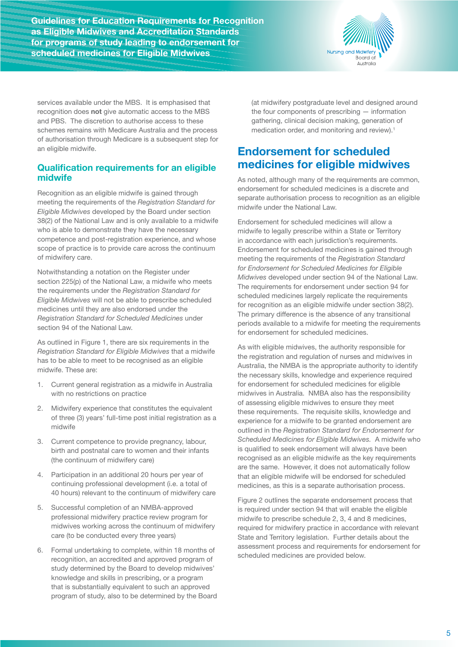

services available under the MBS. It is emphasised that recognition does **not** give automatic access to the MBS and PBS. The discretion to authorise access to these schemes remains with Medicare Australia and the process of authorisation through Medicare is a subsequent step for an eligible midwife.

### **Qualification requirements for an eligible midwife**

Recognition as an eligible midwife is gained through meeting the requirements of the *Registration Standard for Eligible Midwives* developed by the Board under section 38(2) of the National Law and is only available to a midwife who is able to demonstrate they have the necessary competence and post-registration experience, and whose scope of practice is to provide care across the continuum of midwifery care.

Notwithstanding a notation on the Register under section 225(p) of the National Law, a midwife who meets the requirements under the *Registration Standard for Eligible Midwives* will not be able to prescribe scheduled medicines until they are also endorsed under the *Registration Standard for Scheduled Medicines* under section 94 of the National Law.

As outlined in Figure 1, there are six requirements in the *Registration Standard for Eligible Midwives* that a midwife has to be able to meet to be recognised as an eligible midwife. These are:

- 1. Current general registration as a midwife in Australia with no restrictions on practice
- 2. Midwifery experience that constitutes the equivalent of three (3) years' full-time post initial registration as a midwife
- 3. Current competence to provide pregnancy, labour, birth and postnatal care to women and their infants (the continuum of midwifery care)
- 4. Participation in an additional 20 hours per year of continuing professional development (i.e. a total of 40 hours) relevant to the continuum of midwifery care
- 5. Successful completion of an NMBA-approved professional midwifery practice review program for midwives working across the continuum of midwifery care (to be conducted every three years)
- 6. Formal undertaking to complete, within 18 months of recognition, an accredited and approved program of study determined by the Board to develop midwives' knowledge and skills in prescribing, or a program that is substantially equivalent to such an approved program of study, also to be determined by the Board

(at midwifery postgraduate level and designed around the four components of prescribing — information gathering, clinical decision making, generation of medication order, and monitoring and review).<sup>1</sup>

## **Endorsement for scheduled medicines for eligible midwives**

As noted, although many of the requirements are common, endorsement for scheduled medicines is a discrete and separate authorisation process to recognition as an eligible midwife under the National Law.

Endorsement for scheduled medicines will allow a midwife to legally prescribe within a State or Territory in accordance with each jurisdiction's requirements. Endorsement for scheduled medicines is gained through meeting the requirements of the *Registration Standard for Endorsement for Scheduled Medicines for Eligible Midwives* developed under section 94 of the National Law. The requirements for endorsement under section 94 for scheduled medicines largely replicate the requirements for recognition as an eligible midwife under section 38(2). The primary difference is the absence of any transitional periods available to a midwife for meeting the requirements for endorsement for scheduled medicines.

As with eligible midwives, the authority responsible for the registration and regulation of nurses and midwives in Australia, the NMBA is the appropriate authority to identify the necessary skills, knowledge and experience required for endorsement for scheduled medicines for eligible midwives in Australia. NMBA also has the responsibility of assessing eligible midwives to ensure they meet these requirements. The requisite skills, knowledge and experience for a midwife to be granted endorsement are outlined in the *Registration Standard for Endorsement for Scheduled Medicines for Eligible Midwives.* A midwife who is qualified to seek endorsement will always have been recognised as an eligible midwife as the key requirements are the same. However, it does not automatically follow that an eligible midwife will be endorsed for scheduled medicines, as this is a separate authorisation process.

Figure 2 outlines the separate endorsement process that is required under section 94 that will enable the eligible midwife to prescribe schedule 2, 3, 4 and 8 medicines, required for midwifery practice in accordance with relevant State and Territory legislation. Further details about the assessment process and requirements for endorsement for scheduled medicines are provided below.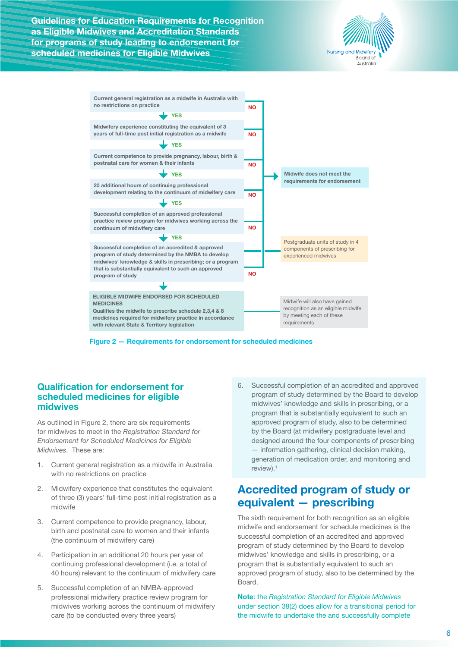



**Figure 2 — Requirements for endorsement for scheduled medicines**

### **Qualification for endorsement for scheduled medicines for eligible midwives**

As outlined in Figure 2, there are six requirements for midwives to meet in the *Registration Standard for Endorsement for Scheduled Medicines for Eligible Midwives*. These are:

- 1. Current general registration as a midwife in Australia with no restrictions on practice
- 2. Midwifery experience that constitutes the equivalent of three (3) years' full-time post initial registration as a midwife
- 3. Current competence to provide pregnancy, labour, birth and postnatal care to women and their infants (the continuum of midwifery care)
- 4. Participation in an additional 20 hours per year of continuing professional development (i.e. a total of 40 hours) relevant to the continuum of midwifery care
- 5. Successful completion of an NMBA-approved professional midwifery practice review program for midwives working across the continuum of midwifery care (to be conducted every three years)

6. Successful completion of an accredited and approved program of study determined by the Board to develop midwives' knowledge and skills in prescribing, or a program that is substantially equivalent to such an approved program of study, also to be determined by the Board (at midwifery postgraduate level and designed around the four components of prescribing — information gathering, clinical decision making, generation of medication order, and monitoring and review).1

## **Accredited program of study or equivalent — prescribing**

The sixth requirement for both recognition as an eligible midwife and endorsement for schedule medicines is the successful completion of an accredited and approved program of study determined by the Board to develop midwives' knowledge and skills in prescribing, or a program that is substantially equivalent to such an approved program of study, also to be determined by the Board.

**Note**: the *Registration Standard for Eligible Midwives* under section 38(2) does allow for a transitional period for the midwife to undertake the and successfully complete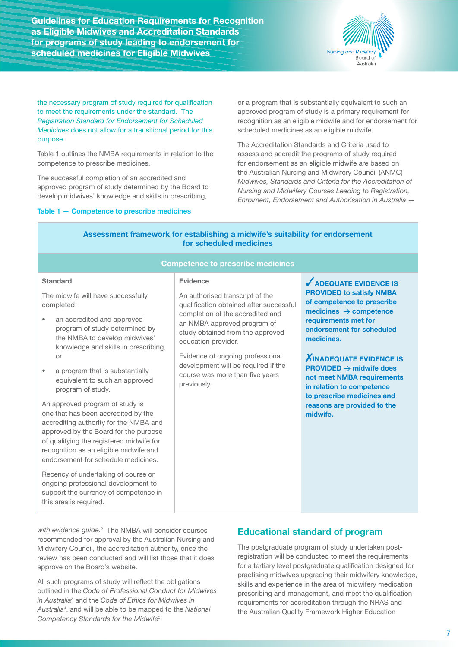

the necessary program of study required for qualification to meet the requirements under the standard. The *Registration Standard for Endorsement for Scheduled Medicines* does not allow for a transitional period for this purpose.

Table 1 outlines the NMBA requirements in relation to the competence to prescribe medicines.

The successful completion of an accredited and approved program of study determined by the Board to develop midwives' knowledge and skills in prescribing,

#### **Table 1 — Competence to prescribe medicines**

or a program that is substantially equivalent to such an approved program of study is a primary requirement for recognition as an eligible midwife and for endorsement for scheduled medicines as an eligible midwife.

The Accreditation Standards and Criteria used to assess and accredit the programs of study required for endorsement as an eligible midwife are based on the Australian Nursing and Midwifery Council (ANMC) *Midwives, Standards and Criteria for the Accreditation of Nursing and Midwifery Courses Leading to Registration, Enrolment, Endorsement and Authorisation in Australia —*

| Assessment framework for establishing a midwife's suitability for endorsement<br>for scheduled medicines<br><b>Competence to prescribe medicines</b> |                                                                                                                                                                                                                                                                                                                                                                                                                                                              |  |                                                                       |  |
|------------------------------------------------------------------------------------------------------------------------------------------------------|--------------------------------------------------------------------------------------------------------------------------------------------------------------------------------------------------------------------------------------------------------------------------------------------------------------------------------------------------------------------------------------------------------------------------------------------------------------|--|-----------------------------------------------------------------------|--|
|                                                                                                                                                      |                                                                                                                                                                                                                                                                                                                                                                                                                                                              |  |                                                                       |  |
|                                                                                                                                                      | program of study.<br>An approved program of study is<br>one that has been accredited by the<br>accrediting authority for the NMBA and<br>approved by the Board for the purpose<br>of qualifying the registered midwife for<br>recognition as an eligible midwife and<br>endorsement for schedule medicines.<br>Recency of undertaking of course or<br>ongoing professional development to<br>support the currency of competence in<br>this area is required. |  | to prescribe medicines and<br>reasons are provided to the<br>midwife. |  |
|                                                                                                                                                      | $\cdots$ $\sim$ $\cdots$ $\cdots$ $\cdots$                                                                                                                                                                                                                                                                                                                                                                                                                   |  |                                                                       |  |

*with evidence guide.*<sup>2</sup> The NMBA will consider courses recommended for approval by the Australian Nursing and Midwifery Council, the accreditation authority, once the review has been conducted and will list those that it does approve on the Board's website.

All such programs of study will reflect the obligations outlined in the *Code of Professional Conduct for Midwives in Australia<sup>3</sup>* and the *Code of Ethics for Midwives in Australia<sup>4</sup>* , and will be able to be mapped to the *National Competency Standards for the Midwife<sup>5</sup> .*

### **Educational standard of program**

The postgraduate program of study undertaken postregistration will be conducted to meet the requirements for a tertiary level postgraduate qualification designed for practising midwives upgrading their midwifery knowledge, skills and experience in the area of midwifery medication prescribing and management, and meet the qualification requirements for accreditation through the NRAS and the Australian Quality Framework Higher Education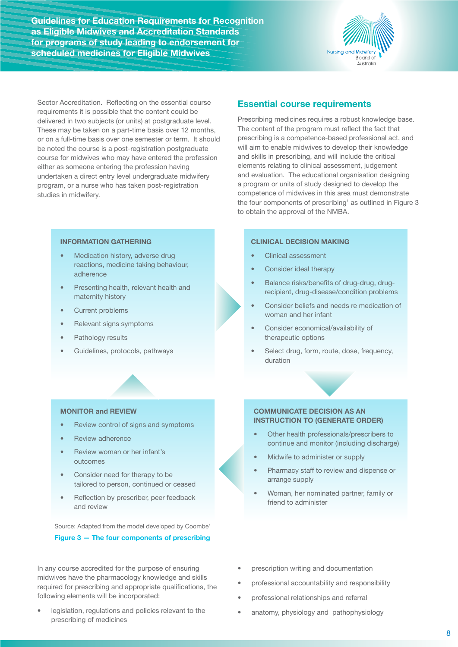

Sector Accreditation. Reflecting on the essential course requirements it is possible that the content could be delivered in two subjects (or units) at postgraduate level. These may be taken on a part-time basis over 12 months, or on a full-time basis over one semester or term. It should be noted the course is a post-registration postgraduate course for midwives who may have entered the profession either as someone entering the profession having undertaken a direct entry level undergraduate midwifery program, or a nurse who has taken post-registration studies in midwifery.

#### **INFORMATION GATHERING**

- Medication history, adverse drug reactions, medicine taking behaviour, adherence
- Presenting health, relevant health and maternity history
- Current problems
- Relevant signs symptoms
- Pathology results
- Guidelines, protocols, pathways

### **Essential course requirements**

Prescribing medicines requires a robust knowledge base. The content of the program must reflect the fact that prescribing is a competence-based professional act, and will aim to enable midwives to develop their knowledge and skills in prescribing, and will include the critical elements relating to clinical assessment, judgement and evaluation. The educational organisation designing a program or units of study designed to develop the competence of midwives in this area must demonstrate the four components of prescribing<sup>1</sup> as outlined in Figure  $3$ to obtain the approval of the NMBA.

#### **CLINICAL DECISION MAKING**

- Clinical assessment
- Consider ideal therapy
- Balance risks/benefits of drug-drug, drugrecipient, drug-disease/condition problems
- Consider beliefs and needs re medication of woman and her infant
- Consider economical/availability of therapeutic options
- Select drug, form, route, dose, frequency, duration

#### **MONITOR and REVIEW**

- Review control of signs and symptoms
- Review adherence
- Review woman or her infant's outcomes
- Consider need for therapy to be tailored to person, continued or ceased
- Reflection by prescriber, peer feedback and review

Source: Adapted from the model developed by Coombe<sup>1</sup> **Figure 3 — The four components of prescribing**

In any course accredited for the purpose of ensuring midwives have the pharmacology knowledge and skills required for prescribing and appropriate qualifications, the following elements will be incorporated:

legislation, regulations and policies relevant to the prescribing of medicines

#### **COMMUNICATE DECISION AS AN INSTRUCTION TO (GENERATE ORDER)**

- Other health professionals/prescribers to continue and monitor (including discharge)
- Midwife to administer or supply
- Pharmacy staff to review and dispense or arrange supply
- Woman, her nominated partner, family or friend to administer
- prescription writing and documentation
- professional accountability and responsibility
- professional relationships and referral
- anatomy, physiology and pathophysiology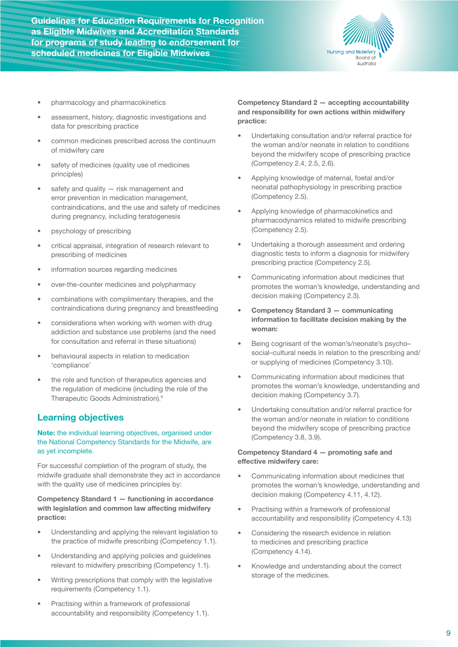

- pharmacology and pharmacokinetics
- assessment, history, diagnostic investigations and data for prescribing practice
- common medicines prescribed across the continuum of midwifery care
- safety of medicines (quality use of medicines principles)
- safety and quality  $-$  risk management and error prevention in medication management, contraindications, and the use and safety of medicines during pregnancy, including teratogenesis
- psychology of prescribing
- critical appraisal, integration of research relevant to prescribing of medicines
- information sources regarding medicines
- over-the-counter medicines and polypharmacy
- combinations with complimentary therapies, and the contraindications during pregnancy and breastfeeding
- considerations when working with women with drug addiction and substance use problems (and the need for consultation and referral in these situations)
- behavioural aspects in relation to medication 'compliance'
- the role and function of therapeutics agencies and the regulation of medicine (including the role of the Therapeutic Goods Administration).<sup>6</sup>

### **Learning objectives**

### **Note:** the individual learning objectives, organised under the National Competency Standards for the Midwife, are as yet incomplete.

For successful completion of the program of study, the midwife graduate shall demonstrate they act in accordance with the quality use of medicines principles by:

### **Competency Standard 1 — functioning in accordance with legislation and common law affecting midwifery practice:**

- Understanding and applying the relevant legislation to the practice of midwife prescribing (Competency 1.1).
- Understanding and applying policies and guidelines relevant to midwifery prescribing (Competency 1.1).
- Writing prescriptions that comply with the legislative requirements (Competency 1.1).
- Practising within a framework of professional accountability and responsibility (Competency 1.1).

**Competency Standard 2 — accepting accountability and responsibility for own actions within midwifery practice:**

- Undertaking consultation and/or referral practice for the woman and/or neonate in relation to conditions beyond the midwifery scope of prescribing practice (Competency 2.4, 2.5, 2.6).
- Applying knowledge of maternal, foetal and/or neonatal pathophysiology in prescribing practice (Competency 2.5).
- Applying knowledge of pharmacokinetics and pharmacodynamics related to midwife prescribing (Competency 2.5).
- Undertaking a thorough assessment and ordering diagnostic tests to inform a diagnosis for midwifery prescribing practice (Competency 2.5).
- Communicating information about medicines that promotes the woman's knowledge, understanding and decision making (Competency 2.3).
- **• Competency Standard 3 communicating information to facilitate decision making by the woman:**
- Being cognisant of the woman's/neonate's psycho– social–cultural needs in relation to the prescribing and/ or supplying of medicines (Competency 3.10).
- Communicating information about medicines that promotes the woman's knowledge, understanding and decision making (Competency 3.7).
- Undertaking consultation and/or referral practice for the woman and/or neonate in relation to conditions beyond the midwifery scope of prescribing practice (Competency 3.8, 3.9).

#### **Competency Standard 4 — promoting safe and effective midwifery care:**

- Communicating information about medicines that promotes the woman's knowledge, understanding and decision making (Competency 4.11, 4.12).
- Practising within a framework of professional accountability and responsibility (Competency 4.13)
- Considering the research evidence in relation to medicines and prescribing practice (Competency 4.14).
- Knowledge and understanding about the correct storage of the medicines.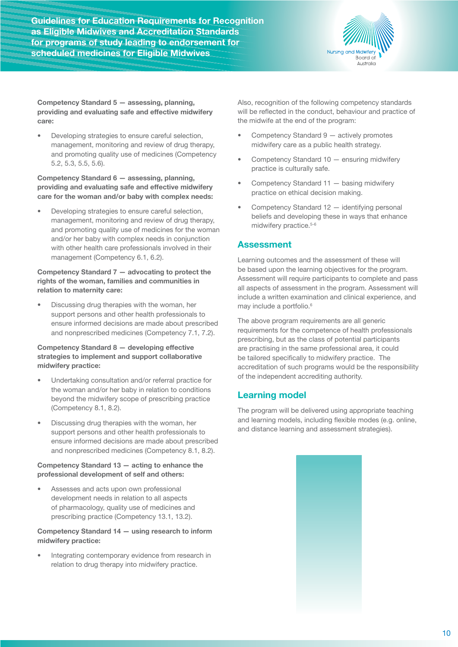

**Competency Standard 5 — assessing, planning, providing and evaluating safe and effective midwifery care:**

• Developing strategies to ensure careful selection, management, monitoring and review of drug therapy, and promoting quality use of medicines (Competency 5.2, 5.3, 5.5, 5.6).

**Competency Standard 6 — assessing, planning, providing and evaluating safe and effective midwifery care for the woman and/or baby with complex needs:**

• Developing strategies to ensure careful selection, management, monitoring and review of drug therapy, and promoting quality use of medicines for the woman and/or her baby with complex needs in conjunction with other health care professionals involved in their management (Competency 6.1, 6.2).

### **Competency Standard 7 — advocating to protect the rights of the woman, families and communities in relation to maternity care:**

• Discussing drug therapies with the woman, her support persons and other health professionals to ensure informed decisions are made about prescribed and nonprescribed medicines (Competency 7.1, 7.2).

### **Competency Standard 8 — developing effective strategies to implement and support collaborative midwifery practice:**

- Undertaking consultation and/or referral practice for the woman and/or her baby in relation to conditions beyond the midwifery scope of prescribing practice (Competency 8.1, 8.2).
- Discussing drug therapies with the woman, her support persons and other health professionals to ensure informed decisions are made about prescribed and nonprescribed medicines (Competency 8.1, 8.2).

### **Competency Standard 13 — acting to enhance the professional development of self and others:**

Assesses and acts upon own professional development needs in relation to all aspects of pharmacology, quality use of medicines and prescribing practice (Competency 13.1, 13.2).

### **Competency Standard 14 — using research to inform midwifery practice:**

Integrating contemporary evidence from research in relation to drug therapy into midwifery practice.

Also, recognition of the following competency standards will be reflected in the conduct, behaviour and practice of the midwife at the end of the program:

- Competency Standard 9 actively promotes midwifery care as a public health strategy.
- Competency Standard 10 ensuring midwifery practice is culturally safe.
- Competency Standard 11 basing midwifery practice on ethical decision making.
- Competency Standard 12 identifying personal beliefs and developing these in ways that enhance midwifery practice.<sup>5-6</sup>

### **Assessment**

Learning outcomes and the assessment of these will be based upon the learning objectives for the program. Assessment will require participants to complete and pass all aspects of assessment in the program. Assessment will include a written examination and clinical experience, and may include a portfolio.<sup>6</sup>

The above program requirements are all generic requirements for the competence of health professionals prescribing, but as the class of potential participants are practising in the same professional area, it could be tailored specifically to midwifery practice. The accreditation of such programs would be the responsibility of the independent accrediting authority.

### **Learning model**

The program will be delivered using appropriate teaching and learning models, including flexible modes (e.g. online, and distance learning and assessment strategies).

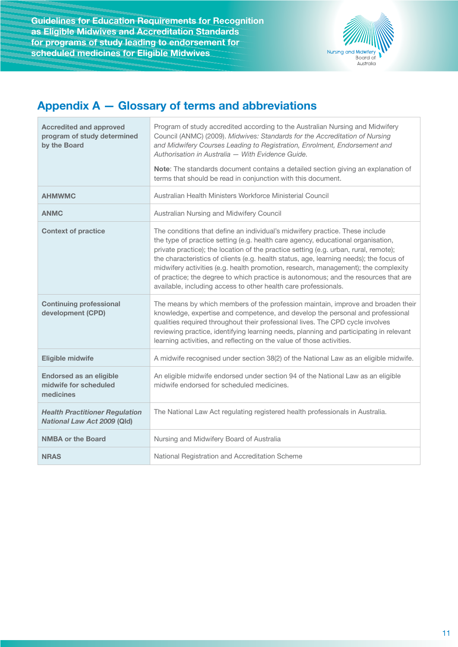

## **Appendix A — Glossary of terms and abbreviations**

| <b>Accredited and approved</b><br>program of study determined<br>by the Board | Program of study accredited according to the Australian Nursing and Midwifery<br>Council (ANMC) (2009). Midwives: Standards for the Accreditation of Nursing<br>and Midwifery Courses Leading to Registration, Enrolment, Endorsement and<br>Authorisation in Australia - With Evidence Guide.<br>Note: The standards document contains a detailed section giving an explanation of<br>terms that should be read in conjunction with this document.                                                                                                                                                |
|-------------------------------------------------------------------------------|----------------------------------------------------------------------------------------------------------------------------------------------------------------------------------------------------------------------------------------------------------------------------------------------------------------------------------------------------------------------------------------------------------------------------------------------------------------------------------------------------------------------------------------------------------------------------------------------------|
| <b>AHMWMC</b>                                                                 | Australian Health Ministers Workforce Ministerial Council                                                                                                                                                                                                                                                                                                                                                                                                                                                                                                                                          |
| <b>ANMC</b>                                                                   | Australian Nursing and Midwifery Council                                                                                                                                                                                                                                                                                                                                                                                                                                                                                                                                                           |
| <b>Context of practice</b>                                                    | The conditions that define an individual's midwifery practice. These include<br>the type of practice setting (e.g. health care agency, educational organisation,<br>private practice); the location of the practice setting (e.g. urban, rural, remote);<br>the characteristics of clients (e.g. health status, age, learning needs); the focus of<br>midwifery activities (e.g. health promotion, research, management); the complexity<br>of practice; the degree to which practice is autonomous; and the resources that are<br>available, including access to other health care professionals. |
| <b>Continuing professional</b><br>development (CPD)                           | The means by which members of the profession maintain, improve and broaden their<br>knowledge, expertise and competence, and develop the personal and professional<br>qualities required throughout their professional lives. The CPD cycle involves<br>reviewing practice, identifying learning needs, planning and participating in relevant<br>learning activities, and reflecting on the value of those activities.                                                                                                                                                                            |
| <b>Eligible midwife</b>                                                       | A midwife recognised under section 38(2) of the National Law as an eligible midwife.                                                                                                                                                                                                                                                                                                                                                                                                                                                                                                               |
| <b>Endorsed as an eligible</b><br>midwife for scheduled<br>medicines          | An eligible midwife endorsed under section 94 of the National Law as an eligible<br>midwife endorsed for scheduled medicines.                                                                                                                                                                                                                                                                                                                                                                                                                                                                      |
| <b>Health Practitioner Regulation</b><br><b>National Law Act 2009 (Qld)</b>   | The National Law Act regulating registered health professionals in Australia.                                                                                                                                                                                                                                                                                                                                                                                                                                                                                                                      |
| <b>NMBA or the Board</b>                                                      | Nursing and Midwifery Board of Australia                                                                                                                                                                                                                                                                                                                                                                                                                                                                                                                                                           |
| <b>NRAS</b>                                                                   | National Registration and Accreditation Scheme                                                                                                                                                                                                                                                                                                                                                                                                                                                                                                                                                     |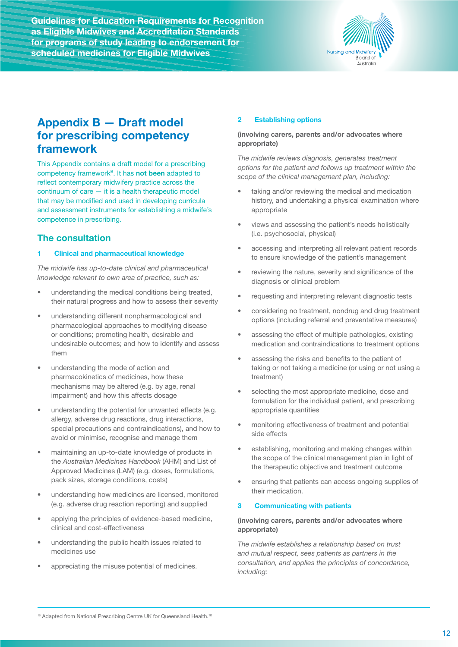

## **Appendix B — Draft model for prescribing competency framework**

This Appendix contains a draft model for a prescribing competency framework<sup>B</sup>. It has **not been** adapted to reflect contemporary midwifery practice across the continuum of care — it is a health therapeutic model that may be modified and used in developing curricula and assessment instruments for establishing a midwife's competence in prescribing.

### **The consultation**

### **1 Clinical and pharmaceutical knowledge**

*The midwife has up-to-date clinical and pharmaceutical knowledge relevant to own area of practice, such as:*

- understanding the medical conditions being treated, their natural progress and how to assess their severity
- understanding different nonpharmacological and pharmacological approaches to modifying disease or conditions; promoting health, desirable and undesirable outcomes; and how to identify and assess them
- understanding the mode of action and pharmacokinetics of medicines, how these mechanisms may be altered (e.g. by age, renal impairment) and how this affects dosage
- understanding the potential for unwanted effects (e.g. allergy, adverse drug reactions, drug interactions, special precautions and contraindications), and how to avoid or minimise, recognise and manage them
- maintaining an up-to-date knowledge of products in the *Australian Medicines Handbook* (AHM) and List of Approved Medicines (LAM) (e.g. doses, formulations, pack sizes, storage conditions, costs)
- understanding how medicines are licensed, monitored (e.g. adverse drug reaction reporting) and supplied
- applying the principles of evidence-based medicine, clinical and cost-effectiveness
- understanding the public health issues related to medicines use
- appreciating the misuse potential of medicines.

### **2 Establishing options**

### **(involving carers, parents and/or advocates where appropriate)**

*The midwife reviews diagnosis, generates treatment options for the patient and follows up treatment within the scope of the clinical management plan, including:*

- taking and/or reviewing the medical and medication history, and undertaking a physical examination where appropriate
- views and assessing the patient's needs holistically (i.e. psychosocial, physical)
- accessing and interpreting all relevant patient records to ensure knowledge of the patient's management
- reviewing the nature, severity and significance of the diagnosis or clinical problem
- requesting and interpreting relevant diagnostic tests
- considering no treatment, nondrug and drug treatment options (including referral and preventative measures)
- assessing the effect of multiple pathologies, existing medication and contraindications to treatment options
- assessing the risks and benefits to the patient of taking or not taking a medicine (or using or not using a treatment)
- selecting the most appropriate medicine, dose and formulation for the individual patient, and prescribing appropriate quantities
- monitoring effectiveness of treatment and potential side effects
- establishing, monitoring and making changes within the scope of the clinical management plan in light of the therapeutic objective and treatment outcome
- ensuring that patients can access ongoing supplies of their medication.

### **3 Communicating with patients**

### **(involving carers, parents and/or advocates where appropriate)**

*The midwife establishes a relationship based on trust and mutual respect, sees patients as partners in the consultation, and applies the principles of concordance, including:*

B Adapted from National Prescribing Centre UK for Queensland Health.<sup>10</sup>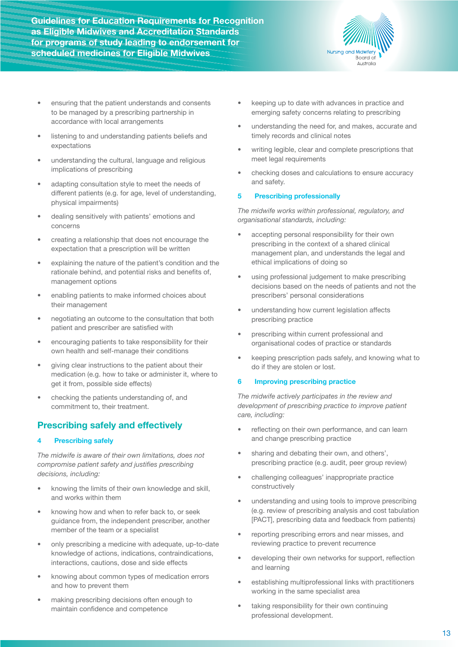

- ensuring that the patient understands and consents to be managed by a prescribing partnership in accordance with local arrangements
- listening to and understanding patients beliefs and expectations
- understanding the cultural, language and religious implications of prescribing
- adapting consultation style to meet the needs of different patients (e.g. for age, level of understanding, physical impairments)
- dealing sensitively with patients' emotions and concerns
- creating a relationship that does not encourage the expectation that a prescription will be written
- explaining the nature of the patient's condition and the rationale behind, and potential risks and benefits of, management options
- enabling patients to make informed choices about their management
- negotiating an outcome to the consultation that both patient and prescriber are satisfied with
- encouraging patients to take responsibility for their own health and self-manage their conditions
- giving clear instructions to the patient about their medication (e.g. how to take or administer it, where to get it from, possible side effects)
- checking the patients understanding of, and commitment to, their treatment.

### **Prescribing safely and effectively**

### **4 Prescribing safely**

*The midwife is aware of their own limitations, does not compromise patient safety and justifies prescribing decisions, including:*

- knowing the limits of their own knowledge and skill, and works within them
- knowing how and when to refer back to, or seek guidance from, the independent prescriber, another member of the team or a specialist
- only prescribing a medicine with adequate, up-to-date knowledge of actions, indications, contraindications, interactions, cautions, dose and side effects
- knowing about common types of medication errors and how to prevent them
- making prescribing decisions often enough to maintain confidence and competence
- keeping up to date with advances in practice and emerging safety concerns relating to prescribing
- understanding the need for, and makes, accurate and timely records and clinical notes
- writing legible, clear and complete prescriptions that meet legal requirements
- checking doses and calculations to ensure accuracy and safety.

### **5 Prescribing professionally**

*The midwife works within professional, regulatory, and organisational standards, including:*

- accepting personal responsibility for their own prescribing in the context of a shared clinical management plan, and understands the legal and ethical implications of doing so
- using professional judgement to make prescribing decisions based on the needs of patients and not the prescribers' personal considerations
- understanding how current legislation affects prescribing practice
- prescribing within current professional and organisational codes of practice or standards
- keeping prescription pads safely, and knowing what to do if they are stolen or lost.

### **6 Improving prescribing practice**

*The midwife actively participates in the review and development of prescribing practice to improve patient care, including:*

- reflecting on their own performance, and can learn and change prescribing practice
- sharing and debating their own, and others', prescribing practice (e.g. audit, peer group review)
- challenging colleagues' inappropriate practice constructively
- understanding and using tools to improve prescribing (e.g. review of prescribing analysis and cost tabulation [PACT], prescribing data and feedback from patients)
- reporting prescribing errors and near misses, and reviewing practice to prevent recurrence
- developing their own networks for support, reflection and learning
- establishing multiprofessional links with practitioners working in the same specialist area
- taking responsibility for their own continuing professional development.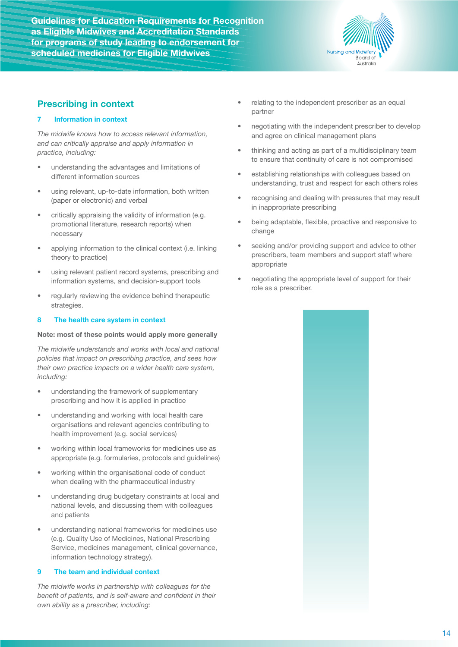

### **Prescribing in context**

### **7 Information in context**

*The midwife knows how to access relevant information, and can critically appraise and apply information in practice, including:*

- understanding the advantages and limitations of different information sources
- using relevant, up-to-date information, both written (paper or electronic) and verbal
- critically appraising the validity of information (e.g. promotional literature, research reports) when necessary
- applying information to the clinical context (i.e. linking theory to practice)
- using relevant patient record systems, prescribing and information systems, and decision-support tools
- regularly reviewing the evidence behind therapeutic strategies.

### **8 The health care system in context**

### **Note: most of these points would apply more generally**

*The midwife understands and works with local and national policies that impact on prescribing practice, and sees how their own practice impacts on a wider health care system, including:*

- understanding the framework of supplementary prescribing and how it is applied in practice
- understanding and working with local health care organisations and relevant agencies contributing to health improvement (e.g. social services)
- working within local frameworks for medicines use as appropriate (e.g. formularies, protocols and guidelines)
- working within the organisational code of conduct when dealing with the pharmaceutical industry
- understanding drug budgetary constraints at local and national levels, and discussing them with colleagues and patients
- understanding national frameworks for medicines use (e.g. Quality Use of Medicines, National Prescribing Service, medicines management, clinical governance, information technology strategy).

### **9 The team and individual context**

*The midwife works in partnership with colleagues for the benefit of patients, and is self-aware and confident in their own ability as a prescriber, including:*

- relating to the independent prescriber as an equal partner
- negotiating with the independent prescriber to develop and agree on clinical management plans
- thinking and acting as part of a multidisciplinary team to ensure that continuity of care is not compromised
- establishing relationships with colleagues based on understanding, trust and respect for each others roles
- recognising and dealing with pressures that may result in inappropriate prescribing
- being adaptable, flexible, proactive and responsive to change
- seeking and/or providing support and advice to other prescribers, team members and support staff where appropriate
- negotiating the appropriate level of support for their role as a prescriber.